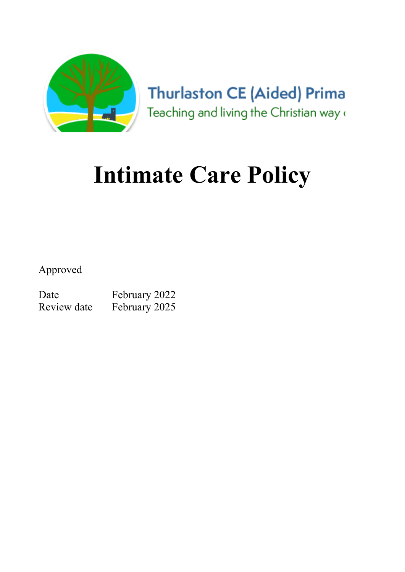

**Thurlaston CE (Aided) Prima** Teaching and living the Christian way (

# Intimate Care Policy

Approved

Date February 2022 Review date February 2025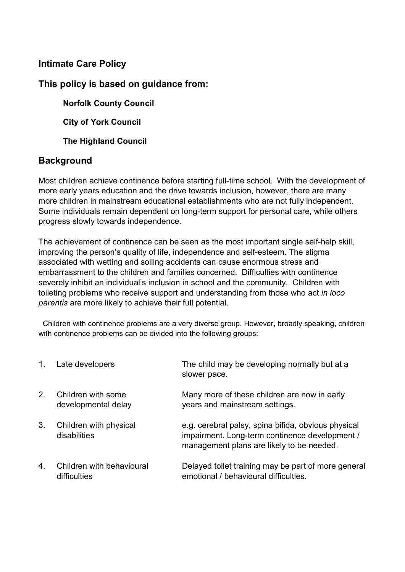#### Intimate Care Policy

#### This policy is based on guidance from:

Norfolk County Council

City of York Council

**The Highland Council** 

#### **Background**

Most children achieve continence before starting full-time school. With the development of more early years education and the drive towards inclusion, however, there are many more children in mainstream educational establishments who are not fully independent. Some individuals remain dependent on long-term support for personal care, while others progress slowly towards independence.

The achievement of continence can be seen as the most important single self-help skill, improving the person's quality of life, independence and self-esteem. The stigma associated with wetting and soiling accidents can cause enormous stress and embarrassment to the children and families concerned. Difficulties with continence severely inhibit an individual's inclusion in school and the community. Children with toileting problems who receive support and understanding from those who act in loco parentis are more likely to achieve their full potential.

 Children with continence problems are a very diverse group. However, broadly speaking, children with continence problems can be divided into the following groups:

| 1. | Late developers                           | The child may be developing normally but at a<br>slower pace.                                                                                      |
|----|-------------------------------------------|----------------------------------------------------------------------------------------------------------------------------------------------------|
| 2. | Children with some<br>developmental delay | Many more of these children are now in early<br>years and mainstream settings.                                                                     |
| 3. | Children with physical<br>disabilities    | e.g. cerebral palsy, spina bifida, obvious physical<br>impairment. Long-term continence development /<br>management plans are likely to be needed. |
| 4. | Children with behavioural<br>difficulties | Delayed toilet training may be part of more general<br>emotional / behavioural difficulties.                                                       |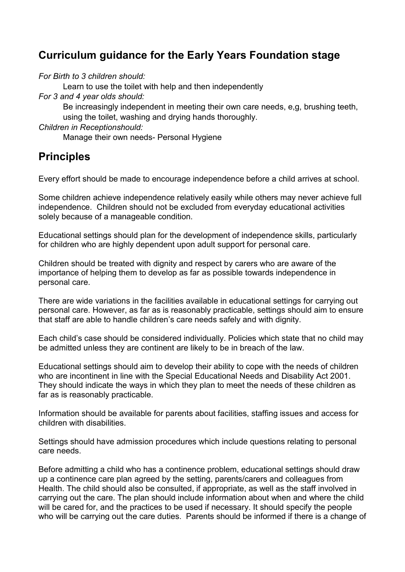### Curriculum guidance for the Early Years Foundation stage

For Birth to 3 children should:

Learn to use the toilet with help and then independently

For 3 and 4 year olds should:

Be increasingly independent in meeting their own care needs, e,g, brushing teeth, using the toilet, washing and drying hands thoroughly.

Children in Receptionshould:

Manage their own needs- Personal Hygiene

### **Principles**

Every effort should be made to encourage independence before a child arrives at school.

Some children achieve independence relatively easily while others may never achieve full independence. Children should not be excluded from everyday educational activities solely because of a manageable condition.

Educational settings should plan for the development of independence skills, particularly for children who are highly dependent upon adult support for personal care.

Children should be treated with dignity and respect by carers who are aware of the importance of helping them to develop as far as possible towards independence in personal care.

There are wide variations in the facilities available in educational settings for carrying out personal care. However, as far as is reasonably practicable, settings should aim to ensure that staff are able to handle children's care needs safely and with dignity.

Each child's case should be considered individually. Policies which state that no child may be admitted unless they are continent are likely to be in breach of the law.

Educational settings should aim to develop their ability to cope with the needs of children who are incontinent in line with the Special Educational Needs and Disability Act 2001. They should indicate the ways in which they plan to meet the needs of these children as far as is reasonably practicable.

Information should be available for parents about facilities, staffing issues and access for children with disabilities.

Settings should have admission procedures which include questions relating to personal care needs.

Before admitting a child who has a continence problem, educational settings should draw up a continence care plan agreed by the setting, parents/carers and colleagues from Health. The child should also be consulted, if appropriate, as well as the staff involved in carrying out the care. The plan should include information about when and where the child will be cared for, and the practices to be used if necessary. It should specify the people who will be carrying out the care duties. Parents should be informed if there is a change of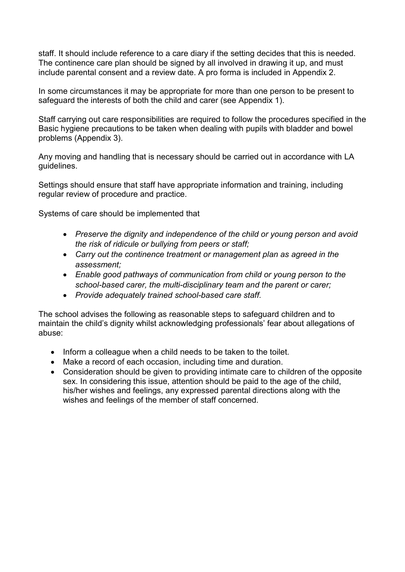staff. It should include reference to a care diary if the setting decides that this is needed. The continence care plan should be signed by all involved in drawing it up, and must include parental consent and a review date. A pro forma is included in Appendix 2.

In some circumstances it may be appropriate for more than one person to be present to safeguard the interests of both the child and carer (see Appendix 1).

Staff carrying out care responsibilities are required to follow the procedures specified in the Basic hygiene precautions to be taken when dealing with pupils with bladder and bowel problems (Appendix 3).

Any moving and handling that is necessary should be carried out in accordance with LA guidelines.

Settings should ensure that staff have appropriate information and training, including regular review of procedure and practice.

Systems of care should be implemented that

- Preserve the dignity and independence of the child or young person and avoid the risk of ridicule or bullying from peers or staff;
- Carry out the continence treatment or management plan as agreed in the assessment;
- Enable good pathways of communication from child or young person to the school-based carer, the multi-disciplinary team and the parent or carer;
- Provide adequately trained school-based care staff.

The school advises the following as reasonable steps to safeguard children and to maintain the child's dignity whilst acknowledging professionals' fear about allegations of abuse:

- Inform a colleague when a child needs to be taken to the toilet.
- Make a record of each occasion, including time and duration.
- Consideration should be given to providing intimate care to children of the opposite sex. In considering this issue, attention should be paid to the age of the child, his/her wishes and feelings, any expressed parental directions along with the wishes and feelings of the member of staff concerned.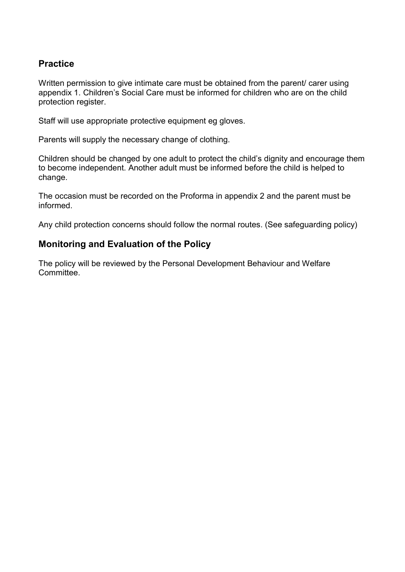#### Practice

Written permission to give intimate care must be obtained from the parent/ carer using appendix 1. Children's Social Care must be informed for children who are on the child protection register.

Staff will use appropriate protective equipment eg gloves.

Parents will supply the necessary change of clothing.

Children should be changed by one adult to protect the child's dignity and encourage them to become independent. Another adult must be informed before the child is helped to change.

The occasion must be recorded on the Proforma in appendix 2 and the parent must be informed.

Any child protection concerns should follow the normal routes. (See safeguarding policy)

#### Monitoring and Evaluation of the Policy

The policy will be reviewed by the Personal Development Behaviour and Welfare Committee.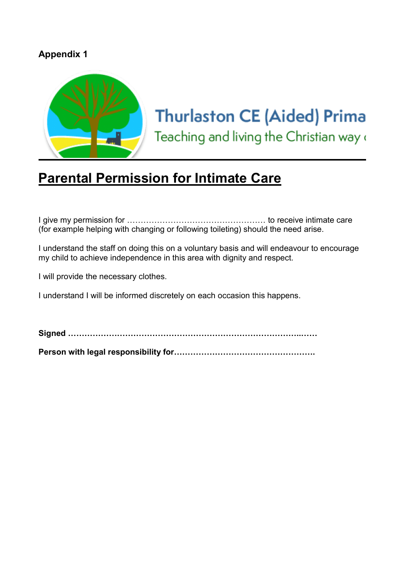#### Appendix 1



# **Thurlaston CE (Aided) Prima**

Teaching and living the Christian way o

## Parental Permission for Intimate Care

I give my permission for …………………………………………… to receive intimate care (for example helping with changing or following toileting) should the need arise.

I understand the staff on doing this on a voluntary basis and will endeavour to encourage my child to achieve independence in this area with dignity and respect.

I will provide the necessary clothes.

I understand I will be informed discretely on each occasion this happens.

Signed …………………………………………………………………………..……

Person with legal responsibility for…………………………………………….